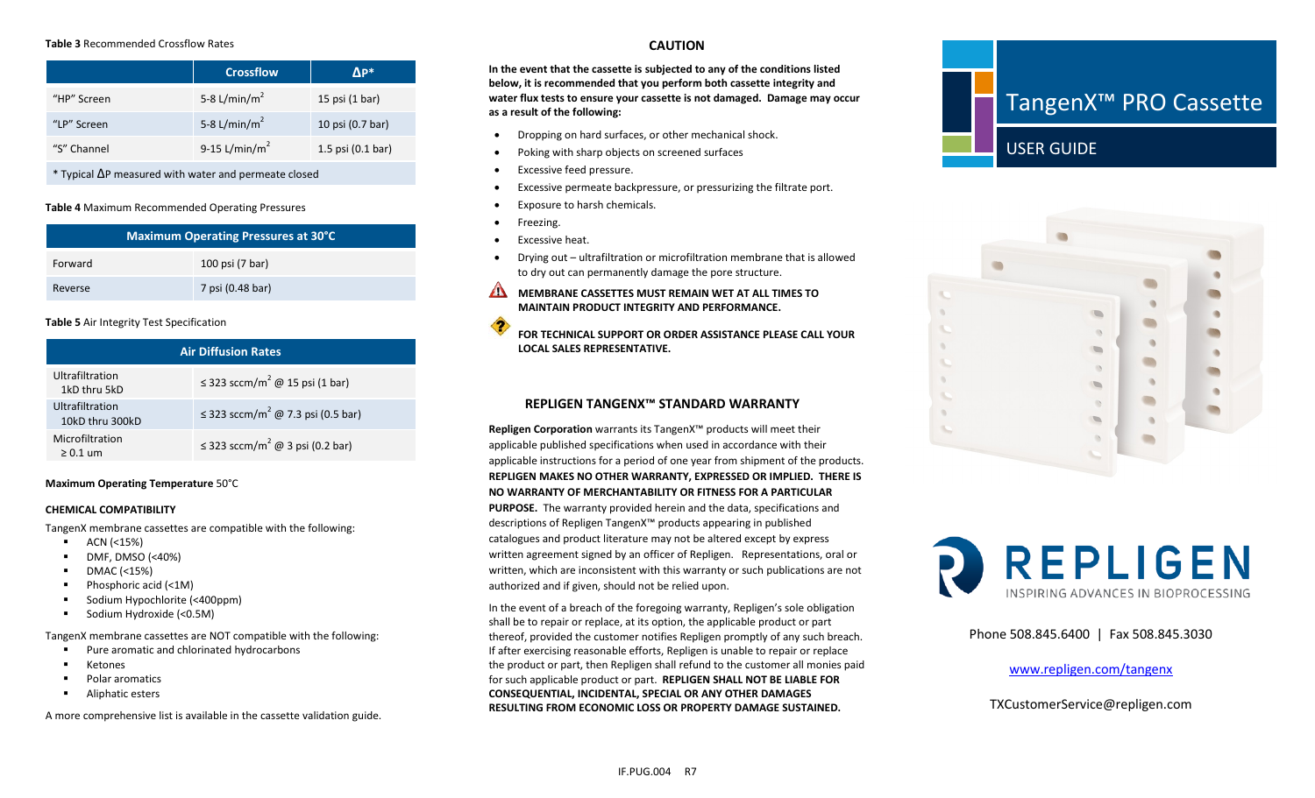#### **Table 3** Recommended Crossflow Rates

|             | <b>Crossflow</b>          | ΔP*                         |
|-------------|---------------------------|-----------------------------|
| "HP" Screen | 5-8 L/min/m <sup>2</sup>  | 15 psi (1 bar)              |
| "LP" Screen | 5-8 L/min/m <sup>2</sup>  | 10 psi (0.7 bar)            |
| "S" Channel | 9-15 L/min/m <sup>2</sup> | 1.5 psi $(0.1 \text{ bar})$ |

\* Typical ∆P measured with water and permeate closed

#### **Table 4** Maximum Recommended Operating Pressures

| <b>Maximum Operating Pressures at 30°C</b> |                  |  |
|--------------------------------------------|------------------|--|
| Forward                                    | 100 psi (7 bar)  |  |
| Reverse                                    | 7 psi (0.48 bar) |  |

#### **Table 5** Air Integrity Test Specification

| <b>Air Diffusion Rates</b>         |                                                  |  |
|------------------------------------|--------------------------------------------------|--|
| Ultrafiltration<br>1kD thru 5kD    | $\leq$ 323 sccm/m <sup>2</sup> @ 15 psi (1 bar)  |  |
| Ultrafiltration<br>10kD thru 300kD | ≤ 323 sccm/m <sup>2</sup> @ 7.3 psi (0.5 bar)    |  |
| Microfiltration<br>$> 0.1$ um      | $\leq$ 323 sccm/m <sup>2</sup> @ 3 psi (0.2 bar) |  |

#### **Maximum Operating Temperature** 50°C

#### **CHEMICAL COMPATIBILITY**

TangenX membrane cassettes are compatible with the following:

- ACN (<15%)
- $\blacksquare$  DMF, DMSO (<40%)
- $\blacksquare$  DMAC (<15%)
- Phosphoric acid (<1M)
- Sodium Hypochlorite (<400ppm)
- **Sodium Hydroxide (<0.5M)**

TangenX membrane cassettes are NOT compatible with the following:

- Pure aromatic and chlorinated hydrocarbons
- **E** Ketones
- **Polar aromatics**
- **Aliphatic esters**

A more comprehensive list is available in the cassette validation guide.

## **CAUTION**

**In the event that the cassette is subjected to any of the conditions listed below, it is recommended that you perform both cassette integrity and water flux tests to ensure your cassette is not damaged. Damage may occur as a result of the following:**

- Dropping on hard surfaces, or other mechanical shock.
- Poking with sharp objects on screened surfaces
- Excessive feed pressure.
- Excessive permeate backpressure, or pressurizing the filtrate port.
- Exposure to harsh chemicals.
- Freezing.
- Excessive heat.
- Drying out ultrafiltration or microfiltration membrane that is allowed to dry out can permanently damage the pore structure.
- **MEMBRANE CASSETTES MUST REMAIN WET AT ALL TIMES TO MAINTAIN PRODUCT INTEGRITY AND PERFORMANCE.**
- 4 **FOR TECHNICAL SUPPORT OR ORDER ASSISTANCE PLEASE CALL YOUR LOCAL SALES REPRESENTATIVE.**

# **REPLIGEN TANGENX™ STANDARD WARRANTY**

**Repligen Corporation** warrants its TangenX™ products will meet their applicable published specifications when used in accordance with their applicable instructions for a period of one year from shipment of the products. **REPLIGEN MAKES NO OTHER WARRANTY, EXPRESSED OR IMPLIED. THERE IS NO WARRANTY OF MERCHANTABILITY OR FITNESS FOR A PARTICULAR PURPOSE.** The warranty provided herein and the data, specifications and descriptions of Repligen TangenX™ products appearing in published catalogues and product literature may not be altered except by express written agreement signed by an officer of Repligen. Representations, oral or written, which are inconsistent with this warranty or such publications are not authorized and if given, should not be relied upon.

In the event of a breach of the foregoing warranty, Repligen's sole obligation shall be to repair or replace, at its option, the applicable product or part thereof, provided the customer notifies Repligen promptly of any such breach. If after exercising reasonable efforts, Repligen is unable to repair or replace the product or part, then Repligen shall refund to the customer all monies paid for such applicable product or part. **REPLIGEN SHALL NOT BE LIABLE FOR CONSEQUENTIAL, INCIDENTAL, SPECIAL OR ANY OTHER DAMAGES RESULTING FROM ECONOMIC LOSS OR PROPERTY DAMAGE SUSTAINED.**







Phone 508.845.6400 | Fax 508.845.3030

[www.repligen.com/tangenx](http://www.repligen.com/tangenx)

TXCustomerService@repligen.com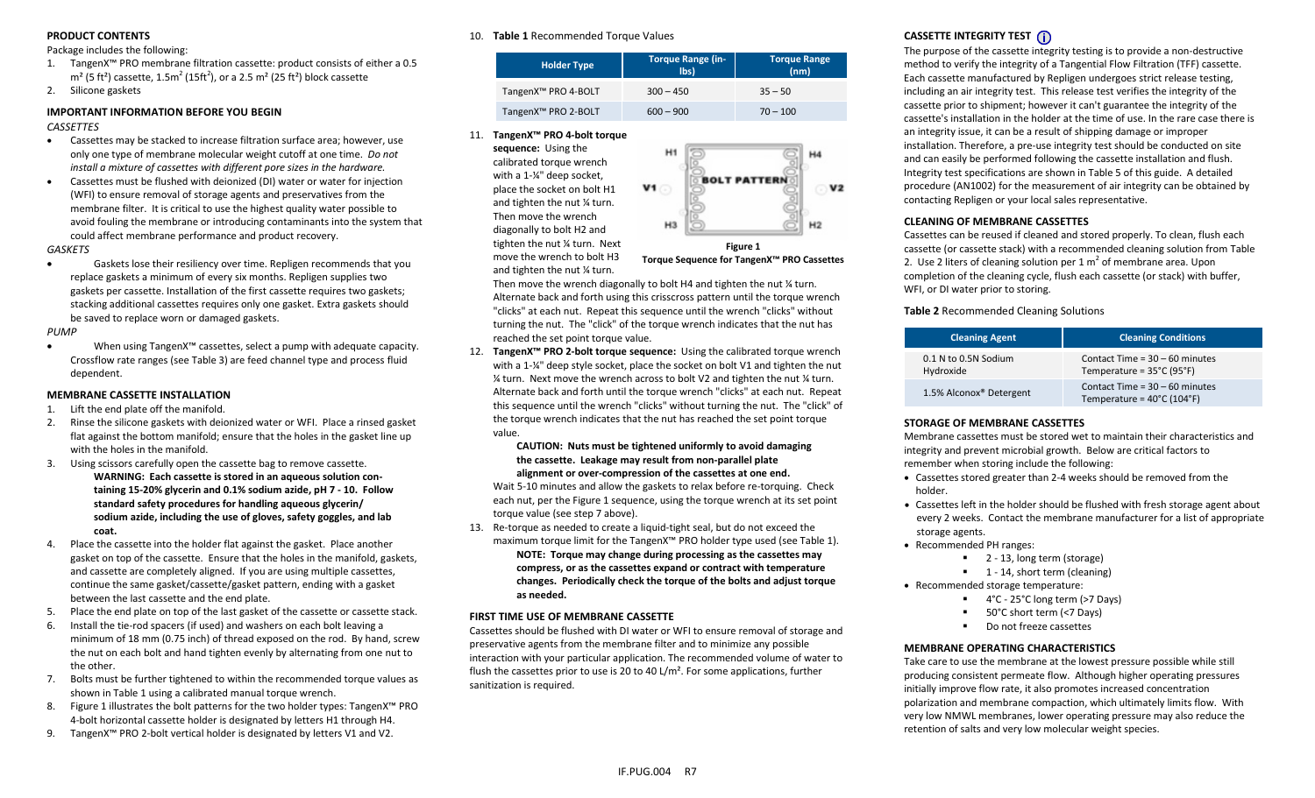## **PRODUCT CONTENTS**

Package includes the following:

- 1. TangenX™ PRO membrane filtration cassette: product consists of either a 0.5 m<sup>2</sup> (5 ft<sup>2</sup>) cassette, 1.5m<sup>2</sup> (15ft<sup>2</sup>), or a 2.5 m<sup>2</sup> (25 ft<sup>2</sup>) block cassette
- 2. Silicone gaskets

## **IMPORTANT INFORMATION BEFORE YOU BEGIN**

*CASSETTES*

- Cassettes may be stacked to increase filtration surface area; however, use only one type of membrane molecular weight cutoff at one time. *Do not install a mixture of cassettes with different pore sizes in the hardware.*
- Cassettes must be flushed with deionized (DI) water or water for injection (WFI) to ensure removal of storage agents and preservatives from the membrane filter. It is critical to use the highest quality water possible to avoid fouling the membrane or introducing contaminants into the system that could affect membrane performance and product recovery.

#### *GASKETS*

• Gaskets lose their resiliency over time. Repligen recommends that you replace gaskets a minimum of every six months. Repligen supplies two gaskets per cassette. Installation of the first cassette requires two gaskets; stacking additional cassettes requires only one gasket. Extra gaskets should be saved to replace worn or damaged gaskets.

*PUMP*

• When using TangenX™ cassettes, select a pump with adequate capacity. Crossflow rate ranges (see Table 3) are feed channel type and process fluid dependent.

## **MEMBRANE CASSETTE INSTALLATION**

- 1. Lift the end plate off the manifold.
- 2. Rinse the silicone gaskets with deionized water or WFI. Place a rinsed gasket flat against the bottom manifold; ensure that the holes in the gasket line up with the holes in the manifold.
- 3. Using scissors carefully open the cassette bag to remove cassette. **WARNING: Each cassette is stored in an aqueous solution containing 15-20% glycerin and 0.1% sodium azide, pH 7 - 10. Follow standard safety procedures for handling aqueous glycerin/ sodium azide, including the use of gloves, safety goggles, and lab coat.**
- 4. Place the cassette into the holder flat against the gasket. Place another gasket on top of the cassette. Ensure that the holes in the manifold, gaskets, and cassette are completely aligned. If you are using multiple cassettes, continue the same gasket/cassette/gasket pattern, ending with a gasket between the last cassette and the end plate.
- 5. Place the end plate on top of the last gasket of the cassette or cassette stack.
- 6. Install the tie-rod spacers (if used) and washers on each bolt leaving a minimum of 18 mm (0.75 inch) of thread exposed on the rod. By hand, screw the nut on each bolt and hand tighten evenly by alternating from one nut to the other.
- 7. Bolts must be further tightened to within the recommended torque values as shown in Table 1 using a calibrated manual torque wrench.
- 8. Figure 1 illustrates the bolt patterns for the two holder types: TangenX™ PRO 4-bolt horizontal cassette holder is designated by letters H1 through H4.
- 9. TangenX™ PRO 2-bolt vertical holder is designated by letters V1 and V2.

### 10. **Table 1** Recommended Torque Values

| <b>Holder Type</b>              | <b>Torque Range (in-</b><br>$\mathsf{libs}$ | <b>Torque Range</b><br>(nm) |
|---------------------------------|---------------------------------------------|-----------------------------|
| TangenX <sup>™</sup> PRO 4-BOLT | $300 - 450$                                 | $35 - 50$                   |
| TangenX <sup>™</sup> PRO 2-BOLT | $600 - 900$                                 | $70 - 100$                  |

11. **TangenX™ PRO 4-bolt torque**

**sequence:** Using the calibrated torque wrench with a 1-¼" deep socket, place the socket on bolt H1 and tighten the nut ¼ turn. Then move the wrench diagonally to bolt H2 and tighten the nut ¼ turn. Next move the wrench to bolt H3 and tighten the nut ¼ turn.



**Figure 1 Torque Sequence for TangenX™ PRO Cassettes**

Then move the wrench diagonally to bolt H4 and tighten the nut ¼ turn. Alternate back and forth using this crisscross pattern until the torque wrench "clicks" at each nut. Repeat this sequence until the wrench "clicks" without turning the nut. The "click" of the torque wrench indicates that the nut has reached the set point torque value.

12. **TangenX™ PRO 2-bolt torque sequence:** Using the calibrated torque wrench with a 1-¼" deep style socket, place the socket on bolt V1 and tighten the nut ¼ turn. Next move the wrench across to bolt V2 and tighten the nut ¼ turn. Alternate back and forth until the torque wrench "clicks" at each nut. Repeat this sequence until the wrench "clicks" without turning the nut. The "click" of the torque wrench indicates that the nut has reached the set point torque value.

#### **CAUTION: Nuts must be tightened uniformly to avoid damaging the cassette. Leakage may result from non-parallel plate alignment or over-compression of the cassettes at one end.**

Wait 5-10 minutes and allow the gaskets to relax before re-torquing. Check each nut, per the Figure 1 sequence, using the torque wrench at its set point torque value (see step 7 above).

13. Re-torque as needed to create a liquid-tight seal, but do not exceed the maximum torque limit for the TangenX™ PRO holder type used (see Table 1).

**NOTE: Torque may change during processing as the cassettes may compress, or as the cassettes expand or contract with temperature changes. Periodically check the torque of the bolts and adjust torque as needed.** 

## **FIRST TIME USE OF MEMBRANE CASSETTE**

Cassettes should be flushed with DI water or WFI to ensure removal of storage and preservative agents from the membrane filter and to minimize any possible interaction with your particular application. The recommended volume of water to flush the cassettes prior to use is 20 to 40 L/m<sup>2</sup>. For some applications, further sanitization is required.

# **CASSETTE INTEGRITY TEST**

The purpose of the cassette integrity testing is to provide a non-destructive method to verify the integrity of a Tangential Flow Filtration (TFF) cassette. Each cassette manufactured by Repligen undergoes strict release testing, including an air integrity test. This release test verifies the integrity of the cassette prior to shipment; however it can't guarantee the integrity of the cassette's installation in the holder at the time of use. In the rare case there is an integrity issue, it can be a result of shipping damage or improper installation. Therefore, a pre-use integrity test should be conducted on site and can easily be performed following the cassette installation and flush. Integrity test specifications are shown in Table 5 of this guide. A detailed procedure (AN1002) for the measurement of air integrity can be obtained by contacting Repligen or your local sales representative.

## **CLEANING OF MEMBRANE CASSETTES**

Cassettes can be reused if cleaned and stored properly. To clean, flush each cassette (or cassette stack) with a recommended cleaning solution from Table 2. Use 2 liters of cleaning solution per 1  $m<sup>2</sup>$  of membrane area. Upon completion of the cleaning cycle, flush each cassette (or stack) with buffer, WFI, or DI water prior to storing.

## **Table 2** Recommended Cleaning Solutions

| <b>Cleaning Agent</b>               | <b>Cleaning Conditions</b>                                                          |
|-------------------------------------|-------------------------------------------------------------------------------------|
| 0.1 N to 0.5N Sodium<br>Hydroxide   | Contact Time = $30 - 60$ minutes<br>Temperature = $35^{\circ}$ C (95 $^{\circ}$ F)  |
| 1.5% Alconox <sup>®</sup> Detergent | Contact Time = $30 - 60$ minutes<br>Temperature = $40^{\circ}$ C (104 $^{\circ}$ F) |

## **STORAGE OF MEMBRANE CASSETTES**

Membrane cassettes must be stored wet to maintain their characteristics and integrity and prevent microbial growth. Below are critical factors to remember when storing include the following:

- Cassettes stored greater than 2-4 weeks should be removed from the holder.
- Cassettes left in the holder should be flushed with fresh storage agent about every 2 weeks. Contact the membrane manufacturer for a list of appropriate storage agents.
- Recommended PH ranges:
	- 2 13, long term (storage)
	- $\blacksquare$  1 14, short term (cleaning)
- Recommended storage temperature:
	- 4°C 25°C long term (>7 Days)
	- 50°C short term (<7 Days)
	- Do not freeze cassettes

## **MEMBRANE OPERATING CHARACTERISTICS**

Take care to use the membrane at the lowest pressure possible while still producing consistent permeate flow. Although higher operating pressures initially improve flow rate, it also promotes increased concentration polarization and membrane compaction, which ultimately limits flow. With very low NMWL membranes, lower operating pressure may also reduce the retention of salts and very low molecular weight species.